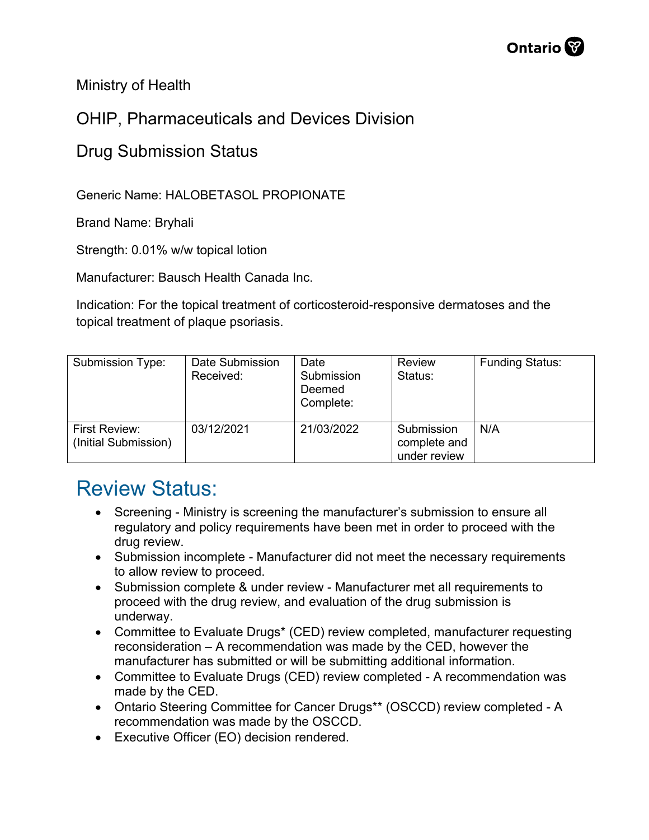Ministry of Health

## OHIP, Pharmaceuticals and Devices Division

## Drug Submission Status

Generic Name: HALOBETASOL PROPIONATE

Brand Name: Bryhali

Strength: 0.01% w/w topical lotion

Manufacturer: Bausch Health Canada Inc.

Indication: For the topical treatment of corticosteroid-responsive dermatoses and the topical treatment of plaque psoriasis.

| Submission Type:                      | Date Submission<br>Received: | Date<br>Submission<br>Deemed<br>Complete: | <b>Review</b><br>Status:                   | <b>Funding Status:</b> |
|---------------------------------------|------------------------------|-------------------------------------------|--------------------------------------------|------------------------|
| First Review:<br>(Initial Submission) | 03/12/2021                   | 21/03/2022                                | Submission<br>complete and<br>under review | N/A                    |

## Review Status:

- Screening Ministry is screening the manufacturer's submission to ensure all regulatory and policy requirements have been met in order to proceed with the drug review.
- Submission incomplete Manufacturer did not meet the necessary requirements to allow review to proceed.
- Submission complete & under review Manufacturer met all requirements to proceed with the drug review, and evaluation of the drug submission is underway.
- Committee to Evaluate Drugs\* (CED) review completed, manufacturer requesting reconsideration – A recommendation was made by the CED, however the manufacturer has submitted or will be submitting additional information.
- Committee to Evaluate Drugs (CED) review completed A recommendation was made by the CED.
- Ontario Steering Committee for Cancer Drugs\*\* (OSCCD) review completed A recommendation was made by the OSCCD.
- Executive Officer (EO) decision rendered.